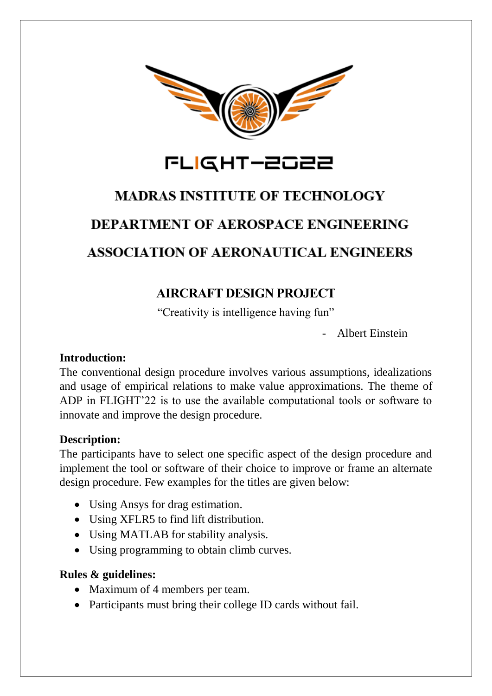

## FLIGHT-2022

# **MADRAS INSTITUTE OF TECHNOLOGY DEPARTMENT OF AEROSPACE ENGINEERING ASSOCIATION OF AERONAUTICAL ENGINEERS**

### **AIRCRAFT DESIGN PROJECT**

"Creativity is intelligence having fun"

- Albert Einstein

#### **Introduction:**

The conventional design procedure involves various assumptions, idealizations and usage of empirical relations to make value approximations. The theme of ADP in FLIGHT'22 is to use the available computational tools or software to innovate and improve the design procedure.

#### **Description:**

The participants have to select one specific aspect of the design procedure and implement the tool or software of their choice to improve or frame an alternate design procedure. Few examples for the titles are given below:

- Using Ansys for drag estimation.
- Using XFLR5 to find lift distribution.
- Using MATLAB for stability analysis.
- Using programming to obtain climb curves.

#### **Rules & guidelines:**

- Maximum of 4 members per team.
- Participants must bring their college ID cards without fail.